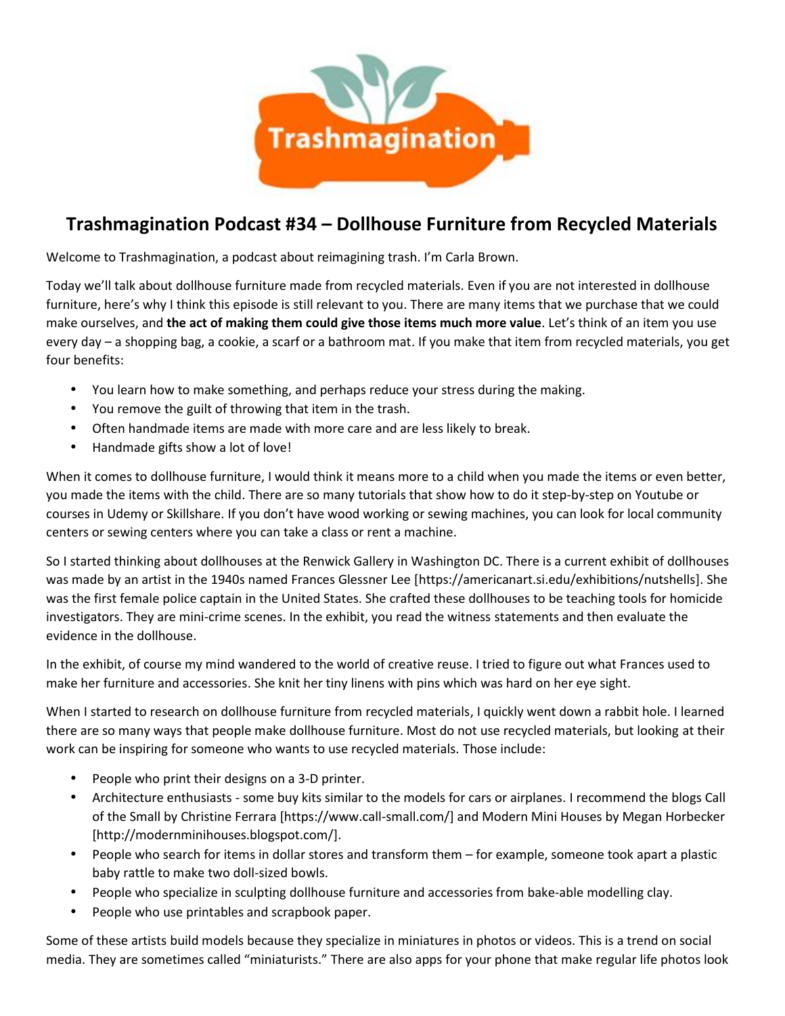

## **Trashmagination Podcast #34 – Dollhouse Furniture from Recycled Materials**

Welcome to Trashmagination, a podcast about reimagining trash. I'm Carla Brown.

Today we'll talk about dollhouse furniture made from recycled materials. Even if you are not interested in dollhouse furniture, here's why I think this episode is still relevant to you. There are many items that we purchase that we could make ourselves, and **the act of making them could give those items much more value**. Let's think of an item you use every day – a shopping bag, a cookie, a scarf or a bathroom mat. If you make that item from recycled materials, you get four benefits:

- You learn how to make something, and perhaps reduce your stress during the making.
- You remove the guilt of throwing that item in the trash.
- Often handmade items are made with more care and are less likely to break.
- Handmade gifts show a lot of love!

When it comes to dollhouse furniture, I would think it means more to a child when you made the items or even better, you made the items with the child. There are so many tutorials that show how to do it step-by-step on Youtube or courses in Udemy or Skillshare. If you don't have wood working or sewing machines, you can look for local community centers or sewing centers where you can take a class or rent a machine.

So I started thinking about dollhouses at the Renwick Gallery in Washington DC. There is a current exhibit of dollhouses was made by an artist in the 1940s named Frances Glessner Lee [https://americanart.si.edu/exhibitions/nutshells]. She was the first female police captain in the United States. She crafted these dollhouses to be teaching tools for homicide investigators. They are mini-crime scenes. In the exhibit, you read the witness statements and then evaluate the evidence in the dollhouse.

In the exhibit, of course my mind wandered to the world of creative reuse. I tried to figure out what Frances used to make her furniture and accessories. She knit her tiny linens with pins which was hard on her eye sight.

When I started to research on dollhouse furniture from recycled materials, I quickly went down a rabbit hole. I learned there are so many ways that people make dollhouse furniture. Most do not use recycled materials, but looking at their work can be inspiring for someone who wants to use recycled materials. Those include:

- People who print their designs on a 3-D printer.
- Architecture enthusiasts some buy kits similar to the models for cars or airplanes. I recommend the blogs Call of the Small by Christine Ferrara [https://www.call-small.com/] and Modern Mini Houses by Megan Horbecker [http://modernminihouses.blogspot.com/].
- People who search for items in dollar stores and transform them for example, someone took apart a plastic baby rattle to make two doll-sized bowls.
- People who specialize in sculpting dollhouse furniture and accessories from bake-able modelling clay.
- People who use printables and scrapbook paper.

Some of these artists build models because they specialize in miniatures in photos or videos. This is a trend on social media. They are sometimes called "miniaturists." There are also apps for your phone that make regular life photos look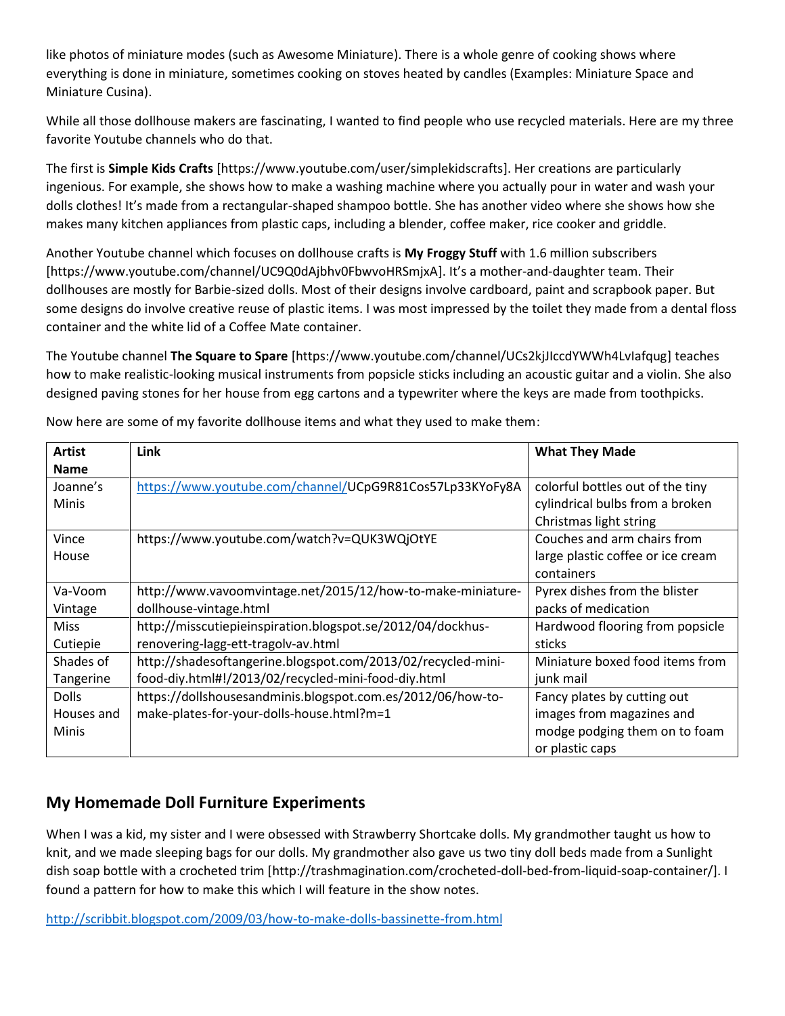like photos of miniature modes (such as Awesome Miniature). There is a whole genre of cooking shows where everything is done in miniature, sometimes cooking on stoves heated by candles (Examples: Miniature Space and Miniature Cusina).

While all those dollhouse makers are fascinating, I wanted to find people who use recycled materials. Here are my three favorite Youtube channels who do that.

The first is **Simple Kids Crafts** [https://www.youtube.com/user/simplekidscrafts]. Her creations are particularly ingenious. For example, she shows how to make a washing machine where you actually pour in water and wash your dolls clothes! It's made from a rectangular-shaped shampoo bottle. She has another video where she shows how she makes many kitchen appliances from plastic caps, including a blender, coffee maker, rice cooker and griddle.

Another Youtube channel which focuses on dollhouse crafts is **My Froggy Stuff** with 1.6 million subscribers [https://www.youtube.com/channel/UC9Q0dAjbhv0FbwvoHRSmjxA]. It's a mother-and-daughter team. Their dollhouses are mostly for Barbie-sized dolls. Most of their designs involve cardboard, paint and scrapbook paper. But some designs do involve creative reuse of plastic items. I was most impressed by the toilet they made from a dental floss container and the white lid of a Coffee Mate container.

The Youtube channel **The Square to Spare** [https://www.youtube.com/channel/UCs2kjJIccdYWWh4LvIafqug] teaches how to make realistic-looking musical instruments from popsicle sticks including an acoustic guitar and a violin. She also designed paving stones for her house from egg cartons and a typewriter where the keys are made from toothpicks.

| <b>Artist</b> | Link                                                         | <b>What They Made</b>             |
|---------------|--------------------------------------------------------------|-----------------------------------|
| <b>Name</b>   |                                                              |                                   |
| Joanne's      | https://www.youtube.com/channel/UCpG9R81Cos57Lp33KYoFy8A     | colorful bottles out of the tiny  |
| <b>Minis</b>  |                                                              | cylindrical bulbs from a broken   |
|               |                                                              | Christmas light string            |
| Vince         | https://www.youtube.com/watch?v=QUK3WQjOtYE                  | Couches and arm chairs from       |
| House         |                                                              | large plastic coffee or ice cream |
|               |                                                              | containers                        |
| Va-Voom       | http://www.vavoomvintage.net/2015/12/how-to-make-miniature-  | Pyrex dishes from the blister     |
| Vintage       | dollhouse-vintage.html                                       | packs of medication               |
| <b>Miss</b>   | http://misscutiepieinspiration.blogspot.se/2012/04/dockhus-  | Hardwood flooring from popsicle   |
| Cutiepie      | renovering-lagg-ett-tragolv-av.html                          | sticks                            |
| Shades of     | http://shadesoftangerine.blogspot.com/2013/02/recycled-mini- | Miniature boxed food items from   |
| Tangerine     | food-diy.html#!/2013/02/recycled-mini-food-diy.html          | junk mail                         |
| <b>Dolls</b>  | https://dollshousesandminis.blogspot.com.es/2012/06/how-to-  | Fancy plates by cutting out       |
| Houses and    | make-plates-for-your-dolls-house.html?m=1                    | images from magazines and         |
| <b>Minis</b>  |                                                              | modge podging them on to foam     |
|               |                                                              | or plastic caps                   |

Now here are some of my favorite dollhouse items and what they used to make them:

## **My Homemade Doll Furniture Experiments**

When I was a kid, my sister and I were obsessed with Strawberry Shortcake dolls. My grandmother taught us how to knit, and we made sleeping bags for our dolls. My grandmother also gave us two tiny doll beds made from a Sunlight dish soap bottle with a crocheted trim [http://trashmagination.com/crocheted-doll-bed-from-liquid-soap-container/]. I found a pattern for how to make this which I will feature in the show notes.

http://scribbit.blogspot.com/2009/03/how-to-make-dolls-bassinette-from.html